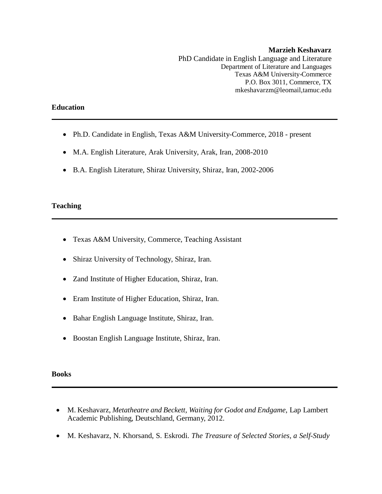#### **Marzieh Keshavarz** PhD Candidate in English Language and Literature Department of Literature and Languages Texas A&M University-Commerce P.O. Box 3011, Commerce, TX mkeshavarzm@leomail,tamuc.edu

### **Education**

- Ph.D. Candidate in English, Texas A&M University-Commerce, 2018 present
- M.A. English Literature, Arak University, Arak, Iran, 2008-2010
- B.A. English Literature, Shiraz University, Shiraz, Iran, 2002-2006

### **Teaching**

- Texas A&M University, Commerce, Teaching Assistant
- Shiraz University of Technology, Shiraz, Iran.
- Zand Institute of Higher Education, Shiraz, Iran.
- Eram Institute of Higher Education, Shiraz, Iran.
- Bahar English Language Institute, Shiraz, Iran.
- Boostan English Language Institute, Shiraz, Iran.

#### **Books**

- M. Keshavarz, *Metatheatre and Beckett, Waiting for Godot and Endgame*, Lap Lambert Academic Publishing, Deutschland, Germany, 2012.
- M. Keshavarz, N. Khorsand, S. Eskrodi. *The Treasure of Selected Stories, a Self-Study*